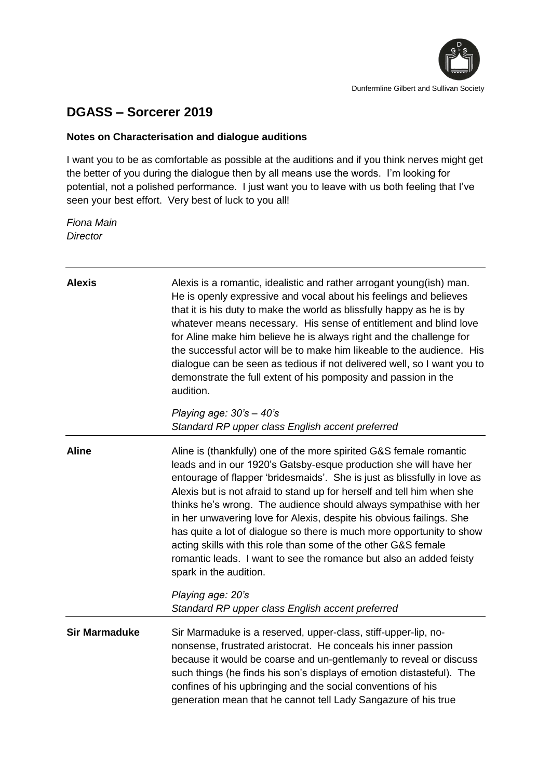

## **DGASS – Sorcerer 2019**

## **Notes on Characterisation and dialogue auditions**

I want you to be as comfortable as possible at the auditions and if you think nerves might get the better of you during the dialogue then by all means use the words. I'm looking for potential, not a polished performance. I just want you to leave with us both feeling that I've seen your best effort. Very best of luck to you all!

*Fiona Main Director*

| <b>Alexis</b>        | Alexis is a romantic, idealistic and rather arrogant young(ish) man.<br>He is openly expressive and vocal about his feelings and believes<br>that it is his duty to make the world as blissfully happy as he is by<br>whatever means necessary. His sense of entitlement and blind love<br>for Aline make him believe he is always right and the challenge for<br>the successful actor will be to make him likeable to the audience. His<br>dialogue can be seen as tedious if not delivered well, so I want you to<br>demonstrate the full extent of his pomposity and passion in the<br>audition.                                                                                                        |
|----------------------|------------------------------------------------------------------------------------------------------------------------------------------------------------------------------------------------------------------------------------------------------------------------------------------------------------------------------------------------------------------------------------------------------------------------------------------------------------------------------------------------------------------------------------------------------------------------------------------------------------------------------------------------------------------------------------------------------------|
|                      | Playing age: $30's - 40's$<br>Standard RP upper class English accent preferred                                                                                                                                                                                                                                                                                                                                                                                                                                                                                                                                                                                                                             |
| <b>Aline</b>         | Aline is (thankfully) one of the more spirited G&S female romantic<br>leads and in our 1920's Gatsby-esque production she will have her<br>entourage of flapper 'bridesmaids'. She is just as blissfully in love as<br>Alexis but is not afraid to stand up for herself and tell him when she<br>thinks he's wrong. The audience should always sympathise with her<br>in her unwavering love for Alexis, despite his obvious failings. She<br>has quite a lot of dialogue so there is much more opportunity to show<br>acting skills with this role than some of the other G&S female<br>romantic leads. I want to see the romance but also an added feisty<br>spark in the audition.<br>Playing age: 20's |
|                      | Standard RP upper class English accent preferred                                                                                                                                                                                                                                                                                                                                                                                                                                                                                                                                                                                                                                                           |
| <b>Sir Marmaduke</b> | Sir Marmaduke is a reserved, upper-class, stiff-upper-lip, no-<br>nonsense, frustrated aristocrat. He conceals his inner passion<br>because it would be coarse and un-gentlemanly to reveal or discuss<br>such things (he finds his son's displays of emotion distasteful). The<br>confines of his upbringing and the social conventions of his<br>generation mean that he cannot tell Lady Sangazure of his true                                                                                                                                                                                                                                                                                          |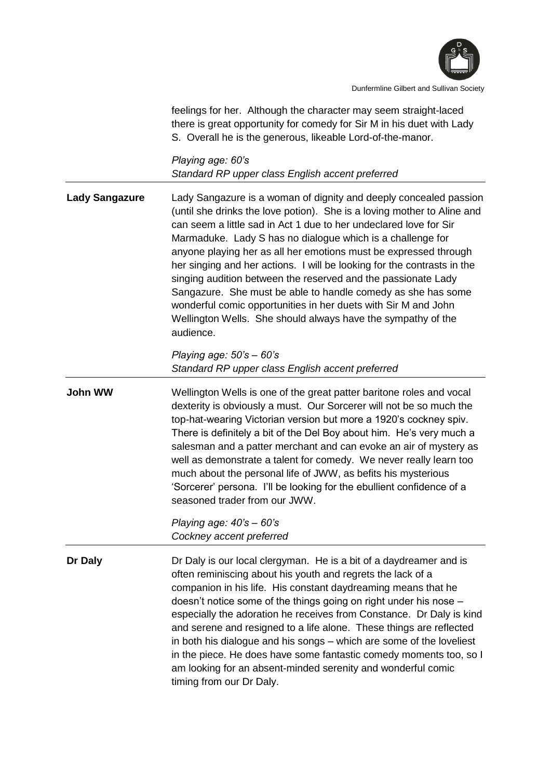

feelings for her. Although the character may seem straight-laced there is great opportunity for comedy for Sir M in his duet with Lady S. Overall he is the generous, likeable Lord-of-the-manor.

*Playing age: 60's Standard RP upper class English accent preferred*

**Lady Sangazure** Lady Sangazure is a woman of dignity and deeply concealed passion (until she drinks the love potion). She is a loving mother to Aline and can seem a little sad in Act 1 due to her undeclared love for Sir Marmaduke. Lady S has no dialogue which is a challenge for anyone playing her as all her emotions must be expressed through her singing and her actions. I will be looking for the contrasts in the singing audition between the reserved and the passionate Lady Sangazure. She must be able to handle comedy as she has some wonderful comic opportunities in her duets with Sir M and John Wellington Wells. She should always have the sympathy of the audience.

> *Playing age: 50's – 60's Standard RP upper class English accent preferred*

**John WW** Wellington Wells is one of the great patter baritone roles and vocal dexterity is obviously a must. Our Sorcerer will not be so much the top-hat-wearing Victorian version but more a 1920's cockney spiv. There is definitely a bit of the Del Boy about him. He's very much a salesman and a patter merchant and can evoke an air of mystery as well as demonstrate a talent for comedy. We never really learn too much about the personal life of JWW, as befits his mysterious 'Sorcerer' persona. I'll be looking for the ebullient confidence of a seasoned trader from our JWW.

> *Playing age: 40's – 60's Cockney accent preferred*

**Dr Daly Dr Daly** is our local clergyman. He is a bit of a daydreamer and is often reminiscing about his youth and regrets the lack of a companion in his life. His constant daydreaming means that he doesn't notice some of the things going on right under his nose – especially the adoration he receives from Constance. Dr Daly is kind and serene and resigned to a life alone. These things are reflected in both his dialogue and his songs – which are some of the loveliest in the piece. He does have some fantastic comedy moments too, so I am looking for an absent-minded serenity and wonderful comic timing from our Dr Daly.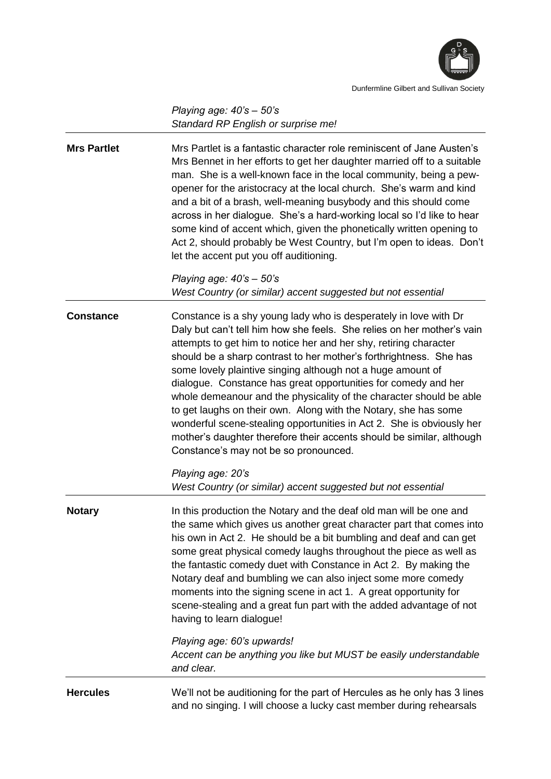

*Playing age: 40's – 50's Standard RP English or surprise me!*

| <b>Mrs Partlet</b> | Mrs Partlet is a fantastic character role reminiscent of Jane Austen's<br>Mrs Bennet in her efforts to get her daughter married off to a suitable<br>man. She is a well-known face in the local community, being a pew-<br>opener for the aristocracy at the local church. She's warm and kind<br>and a bit of a brash, well-meaning busybody and this should come<br>across in her dialogue. She's a hard-working local so I'd like to hear<br>some kind of accent which, given the phonetically written opening to<br>Act 2, should probably be West Country, but I'm open to ideas. Don't<br>let the accent put you off auditioning.                                                                                                                     |
|--------------------|-------------------------------------------------------------------------------------------------------------------------------------------------------------------------------------------------------------------------------------------------------------------------------------------------------------------------------------------------------------------------------------------------------------------------------------------------------------------------------------------------------------------------------------------------------------------------------------------------------------------------------------------------------------------------------------------------------------------------------------------------------------|
|                    | Playing age: $40's - 50's$<br>West Country (or similar) accent suggested but not essential                                                                                                                                                                                                                                                                                                                                                                                                                                                                                                                                                                                                                                                                  |
| <b>Constance</b>   | Constance is a shy young lady who is desperately in love with Dr<br>Daly but can't tell him how she feels. She relies on her mother's vain<br>attempts to get him to notice her and her shy, retiring character<br>should be a sharp contrast to her mother's forthrightness. She has<br>some lovely plaintive singing although not a huge amount of<br>dialogue. Constance has great opportunities for comedy and her<br>whole demeanour and the physicality of the character should be able<br>to get laughs on their own. Along with the Notary, she has some<br>wonderful scene-stealing opportunities in Act 2. She is obviously her<br>mother's daughter therefore their accents should be similar, although<br>Constance's may not be so pronounced. |
|                    | Playing age: 20's<br>West Country (or similar) accent suggested but not essential                                                                                                                                                                                                                                                                                                                                                                                                                                                                                                                                                                                                                                                                           |
| <b>Notary</b>      | In this production the Notary and the deaf old man will be one and<br>the same which gives us another great character part that comes into<br>his own in Act 2. He should be a bit bumbling and deaf and can get<br>some great physical comedy laughs throughout the piece as well as<br>the fantastic comedy duet with Constance in Act 2. By making the<br>Notary deaf and bumbling we can also inject some more comedy<br>moments into the signing scene in act 1. A great opportunity for<br>scene-stealing and a great fun part with the added advantage of not<br>having to learn dialogue!                                                                                                                                                           |
|                    | Playing age: 60's upwards!<br>Accent can be anything you like but MUST be easily understandable<br>and clear.                                                                                                                                                                                                                                                                                                                                                                                                                                                                                                                                                                                                                                               |
| <b>Hercules</b>    | We'll not be auditioning for the part of Hercules as he only has 3 lines<br>and no singing. I will choose a lucky cast member during rehearsals                                                                                                                                                                                                                                                                                                                                                                                                                                                                                                                                                                                                             |